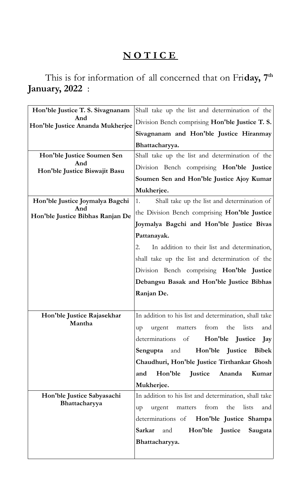## **N O T I C E**

This is for information of all concerned that on Fri**day, 7th January, 2022** :

| Hon'ble Justice T. S. Sivagnanam<br>And<br>Hon'ble Justice Ananda Mukherjee | Shall take up the list and determination of the        |
|-----------------------------------------------------------------------------|--------------------------------------------------------|
|                                                                             | Division Bench comprising Hon'ble Justice T. S.        |
|                                                                             | Sivagnanam and Hon'ble Justice Hiranmay                |
|                                                                             | Bhattacharyya.                                         |
| Hon'ble Justice Soumen Sen<br>And<br>Hon'ble Justice Biswajit Basu          | Shall take up the list and determination of the        |
|                                                                             | Division Bench comprising Hon'ble Justice              |
|                                                                             | Soumen Sen and Hon'ble Justice Ajoy Kumar              |
|                                                                             | Mukherjee.                                             |
| Hon'ble Justice Joymalya Bagchi                                             | Shall take up the list and determination of<br>1.      |
| And<br>Hon'ble Justice Bibhas Ranjan De                                     | the Division Bench comprising Hon'ble Justice          |
|                                                                             | Joymalya Bagchi and Hon'ble Justice Bivas              |
|                                                                             | Pattanayak.                                            |
|                                                                             | 2.<br>In addition to their list and determination,     |
|                                                                             | shall take up the list and determination of the        |
|                                                                             | Division Bench comprising Hon'ble Justice              |
|                                                                             | Debangsu Basak and Hon'ble Justice Bibhas              |
|                                                                             | Ranjan De.                                             |
|                                                                             |                                                        |
| Hon'ble Justice Rajasekhar<br>Mantha                                        | In addition to his list and determination, shall take  |
|                                                                             | lists<br>from<br>the<br>and<br>urgent<br>matters<br>up |
|                                                                             | Hon'ble Justice<br>determinations<br>of<br>Jay         |
|                                                                             | Hon'ble Justice<br><b>Bibek</b><br>Sengupta<br>and     |
|                                                                             | Chaudhuri, Hon'ble Justice Tirthankar Ghosh            |
|                                                                             | Hon'ble<br><b>Justice</b><br>Ananda<br>and<br>Kumar    |
|                                                                             | Mukherjee.                                             |
| Hon'ble Justice Sabyasachi<br>Bhattacharyya                                 | In addition to his list and determination, shall take  |
|                                                                             | lists<br>from<br>the<br>urgent<br>matters<br>and<br>up |
|                                                                             | determinations of<br>Hon'ble Justice Shampa            |
|                                                                             | Hon'ble<br>Sarkar<br>Justice<br>and<br>Saugata         |
|                                                                             | Bhattacharyya.                                         |
|                                                                             |                                                        |